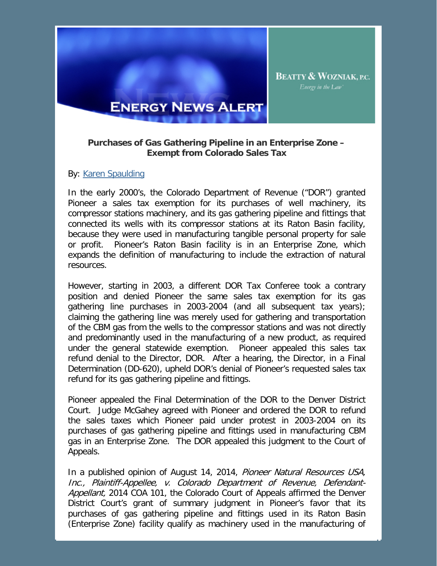

## **Purchases of Gas Gathering Pipeline in an Enterprise Zone – Exempt from Colorado Sales Tax**

## By: [Karen Spaulding](http://www.bwenergylaw.com/Attorneys/KSpaulding.asp)

In the early 2000's, the Colorado Department of Revenue ("DOR") granted Pioneer a sales tax exemption for its purchases of well machinery, its compressor stations machinery, and its gas gathering pipeline and fittings that connected its wells with its compressor stations at its Raton Basin facility, because they were used in manufacturing tangible personal property for sale or profit. Pioneer's Raton Basin facility is in an Enterprise Zone, which expands the definition of manufacturing to include the extraction of natural resources.

However, starting in 2003, a different DOR Tax Conferee took a contrary position and denied Pioneer the same sales tax exemption for its gas gathering line purchases in 2003-2004 (and all subsequent tax years); claiming the gathering line was merely used for gathering and transportation of the CBM gas from the wells to the compressor stations and was not directly and predominantly used in the manufacturing of a new product, as required under the general statewide exemption. Pioneer appealed this sales tax refund denial to the Director, DOR. After a hearing, the Director, in a Final Determination (DD-620), upheld DOR's denial of Pioneer's requested sales tax refund for its gas gathering pipeline and fittings.

Pioneer appealed the Final Determination of the DOR to the Denver District Court. Judge McGahey agreed with Pioneer and ordered the DOR to refund the sales taxes which Pioneer paid under protest in 2003-2004 on its purchases of gas gathering pipeline and fittings used in manufacturing CBM gas in an Enterprise Zone. The DOR appealed this judgment to the Court of Appeals.

In a published opinion of August 14, 2014, Pioneer Natural Resources USA, Inc., Plaintiff-Appellee, v. Colorado Department of Revenue, Defendant-Appellant, 2014 COA 101, the Colorado Court of Appeals affirmed the Denver District Court's grant of summary judgment in Pioneer's favor that its purchases of gas gathering pipeline and fittings used in its Raton Basin (Enterprise Zone) facility qualify as machinery used in the manufacturing of